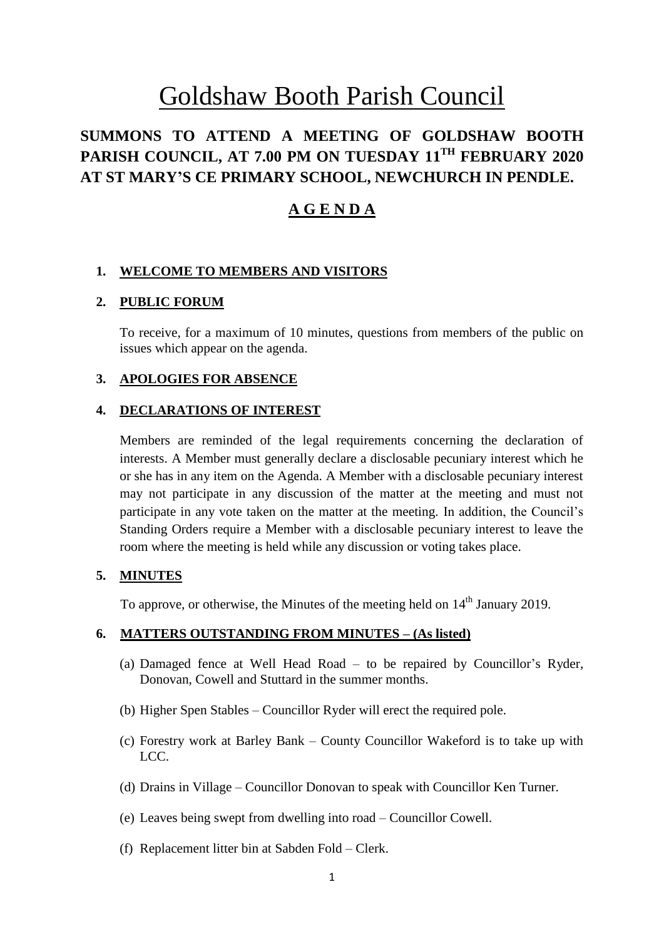# Goldshaw Booth Parish Council

## **SUMMONS TO ATTEND A MEETING OF GOLDSHAW BOOTH PARISH COUNCIL, AT 7.00 PM ON TUESDAY 11TH FEBRUARY 2020 AT ST MARY'S CE PRIMARY SCHOOL, NEWCHURCH IN PENDLE.**

## **A G E N D A**

#### **1. WELCOME TO MEMBERS AND VISITORS**

#### **2. PUBLIC FORUM**

To receive, for a maximum of 10 minutes, questions from members of the public on issues which appear on the agenda.

#### **3. APOLOGIES FOR ABSENCE**

#### **4. DECLARATIONS OF INTEREST**

Members are reminded of the legal requirements concerning the declaration of interests. A Member must generally declare a disclosable pecuniary interest which he or she has in any item on the Agenda. A Member with a disclosable pecuniary interest may not participate in any discussion of the matter at the meeting and must not participate in any vote taken on the matter at the meeting. In addition, the Council's Standing Orders require a Member with a disclosable pecuniary interest to leave the room where the meeting is held while any discussion or voting takes place.

#### **5. MINUTES**

To approve, or otherwise, the Minutes of the meeting held on  $14<sup>th</sup>$  January 2019.

## **6. MATTERS OUTSTANDING FROM MINUTES – (As listed)**

- (a) Damaged fence at Well Head Road to be repaired by Councillor's Ryder, Donovan, Cowell and Stuttard in the summer months.
- (b) Higher Spen Stables Councillor Ryder will erect the required pole.
- (c) Forestry work at Barley Bank County Councillor Wakeford is to take up with LCC.
- (d) Drains in Village Councillor Donovan to speak with Councillor Ken Turner.
- (e) Leaves being swept from dwelling into road Councillor Cowell.
- (f) Replacement litter bin at Sabden Fold Clerk.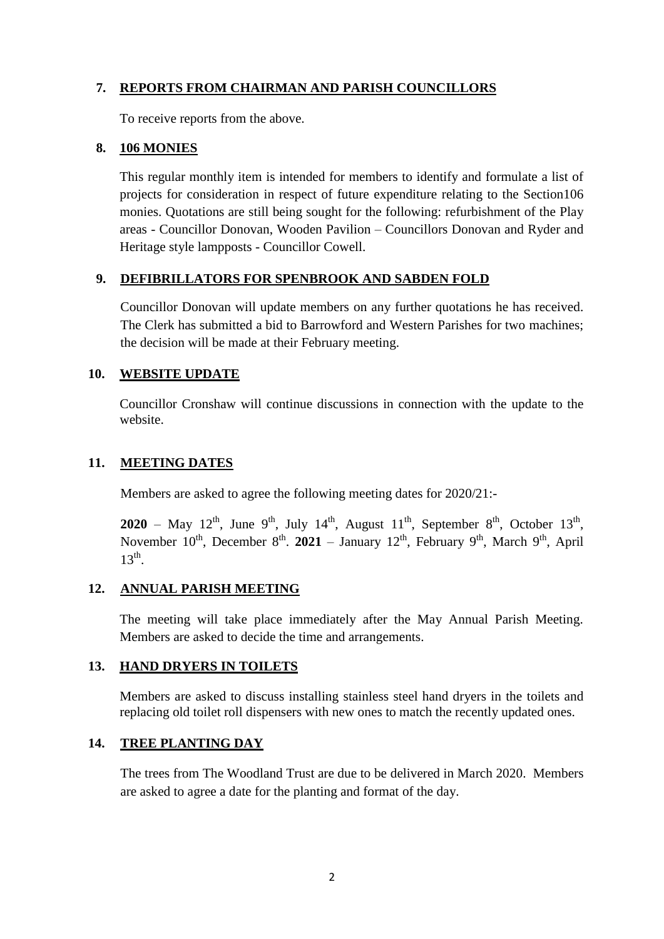## **7. REPORTS FROM CHAIRMAN AND PARISH COUNCILLORS**

To receive reports from the above.

#### **8. 106 MONIES**

This regular monthly item is intended for members to identify and formulate a list of projects for consideration in respect of future expenditure relating to the Section106 monies. Quotations are still being sought for the following: refurbishment of the Play areas - Councillor Donovan, Wooden Pavilion – Councillors Donovan and Ryder and Heritage style lampposts - Councillor Cowell.

#### **9. DEFIBRILLATORS FOR SPENBROOK AND SABDEN FOLD**

Councillor Donovan will update members on any further quotations he has received. The Clerk has submitted a bid to Barrowford and Western Parishes for two machines; the decision will be made at their February meeting.

#### **10. WEBSITE UPDATE**

Councillor Cronshaw will continue discussions in connection with the update to the website.

#### **11. MEETING DATES**

Members are asked to agree the following meeting dates for 2020/21:-

**2020** – May 12<sup>th</sup>, June 9<sup>th</sup>, July 14<sup>th</sup>, August 11<sup>th</sup>, September 8<sup>th</sup>, October 13<sup>th</sup>, November  $10^{th}$ , December  $8^{th}$ . **2021** – January  $12^{th}$ , February  $9^{th}$ , March  $9^{th}$ , April  $13<sup>th</sup>$ .

#### **12. ANNUAL PARISH MEETING**

The meeting will take place immediately after the May Annual Parish Meeting. Members are asked to decide the time and arrangements.

#### **13. HAND DRYERS IN TOILETS**

Members are asked to discuss installing stainless steel hand dryers in the toilets and replacing old toilet roll dispensers with new ones to match the recently updated ones.

#### **14. TREE PLANTING DAY**

The trees from The Woodland Trust are due to be delivered in March 2020. Members are asked to agree a date for the planting and format of the day.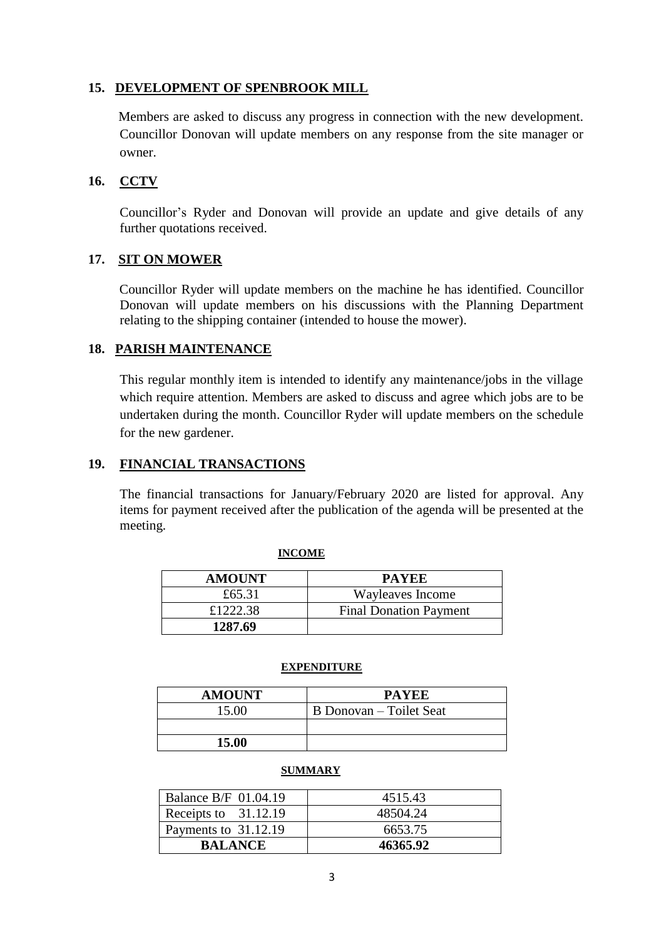#### **15. DEVELOPMENT OF SPENBROOK MILL**

Members are asked to discuss any progress in connection with the new development. Councillor Donovan will update members on any response from the site manager or owner.

#### **16. CCTV**

Councillor's Ryder and Donovan will provide an update and give details of any further quotations received.

#### **17. SIT ON MOWER**

 Councillor Ryder will update members on the machine he has identified. Councillor Donovan will update members on his discussions with the Planning Department relating to the shipping container (intended to house the mower).

#### **18. PARISH MAINTENANCE**

This regular monthly item is intended to identify any maintenance/jobs in the village which require attention. Members are asked to discuss and agree which jobs are to be undertaken during the month. Councillor Ryder will update members on the schedule for the new gardener.

#### **19. FINANCIAL TRANSACTIONS**

The financial transactions for January/February 2020 are listed for approval. Any items for payment received after the publication of the agenda will be presented at the meeting.

| <b>AMOUNT</b> | <b>PAYEE</b>                  |
|---------------|-------------------------------|
| £65.31        | Wayleaves Income              |
| £1222.38      | <b>Final Donation Payment</b> |
| 1287.69       |                               |

#### **INCOME**

#### **EXPENDITURE**

| <b>AMOUNT</b> | <b>PAYEE</b>            |
|---------------|-------------------------|
| 15.00         | B Donovan – Toilet Seat |
|               |                         |
| 15.00         |                         |

#### **SUMMARY**

| <b>Balance B/F 01.04.19</b> | 4515.43  |
|-----------------------------|----------|
| Receipts to 31.12.19        | 48504.24 |
| Payments to 31.12.19        | 6653.75  |
| <b>BALANCE</b>              | 46365.92 |